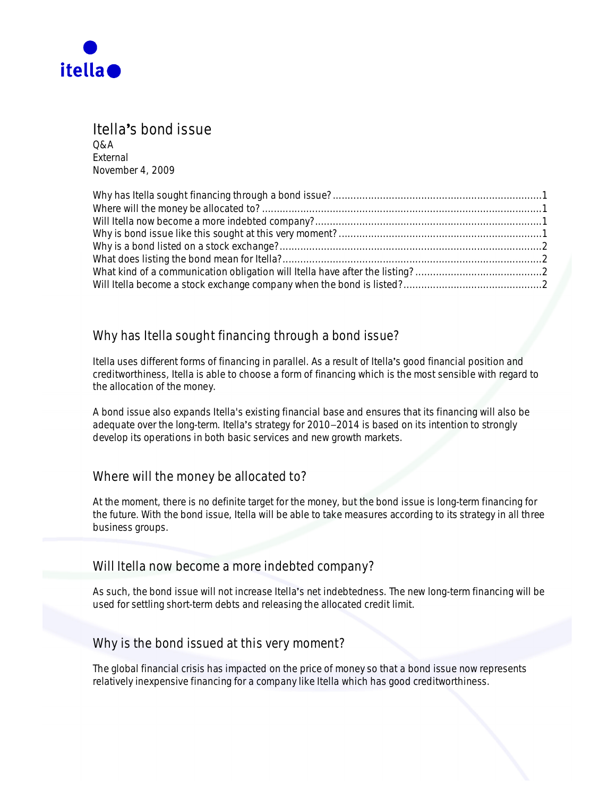

## **Itellas bond issue**

**Q&A** External November 4, 2009

# **Why has Itella sought financing through a bond issue?**

Itella uses different forms of financing in parallel. As a result of Itella's good financial position and creditworthiness, Itella is able to choose a form of financing which is the most sensible with regard to the allocation of the money.

A bond issue also expands Itella's existing financial base and ensures that its financing will also be adequate over the long-term. Itella's strategy for 2010–2014 is based on its intention to strongly develop its operations in both basic services and new growth markets.

#### **Where will the money be allocated to?**

At the moment, there is no definite target for the money, but the bond issue is long-term financing for the future. With the bond issue, Itella will be able to take measures according to its strategy in all three business groups.

#### **Will Itella now become a more indebted company?**

As such, the bond issue will not increase Itella's net indebtedness. The new long-term financing will be used for settling short-term debts and releasing the allocated credit limit.

#### **Why is the bond issued at this very moment?**

The global financial crisis has impacted on the price of money so that a bond issue now represents relatively inexpensive financing for a company like Itella which has good creditworthiness.